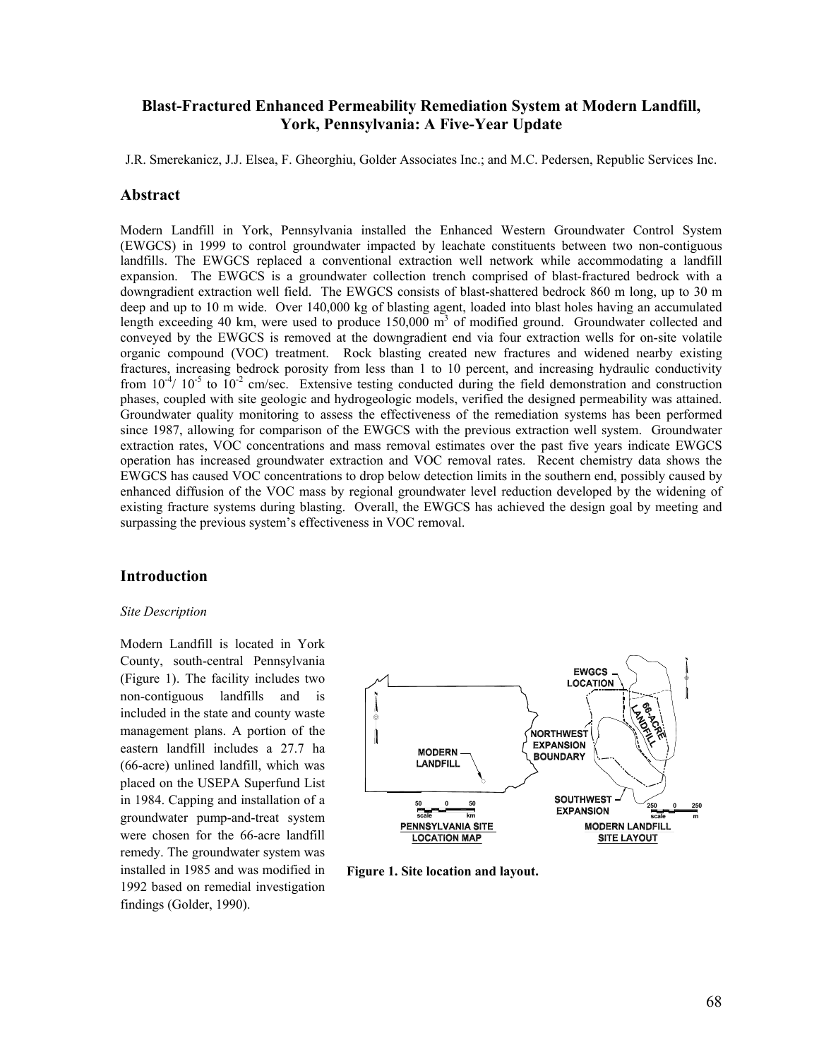## **Blast-Fractured Enhanced Permeability Remediation System at Modern Landfill, York, Pennsylvania: A Five-Year Update**

J.R. Smerekanicz, J.J. Elsea, F. Gheorghiu, Golder Associates Inc.; and M.C. Pedersen, Republic Services Inc.

### **Abstract**

Modern Landfill in York, Pennsylvania installed the Enhanced Western Groundwater Control System (EWGCS) in 1999 to control groundwater impacted by leachate constituents between two non-contiguous landfills. The EWGCS replaced a conventional extraction well network while accommodating a landfill expansion. The EWGCS is a groundwater collection trench comprised of blast-fractured bedrock with a downgradient extraction well field. The EWGCS consists of blast-shattered bedrock 860 m long, up to 30 m deep and up to 10 m wide. Over 140,000 kg of blasting agent, loaded into blast holes having an accumulated length exceeding 40 km, were used to produce 150,000 m<sup>3</sup> of modified ground. Groundwater collected and conveyed by the EWGCS is removed at the downgradient end via four extraction wells for on-site volatile organic compound (VOC) treatment. Rock blasting created new fractures and widened nearby existing fractures, increasing bedrock porosity from less than 1 to 10 percent, and increasing hydraulic conductivity from  $10^{-4}$ /  $10^{-5}$  to  $10^{-2}$  cm/sec. Extensive testing conducted during the field demonstration and construction phases, coupled with site geologic and hydrogeologic models, verified the designed permeability was attained. Groundwater quality monitoring to assess the effectiveness of the remediation systems has been performed since 1987, allowing for comparison of the EWGCS with the previous extraction well system. Groundwater extraction rates, VOC concentrations and mass removal estimates over the past five years indicate EWGCS operation has increased groundwater extraction and VOC removal rates. Recent chemistry data shows the EWGCS has caused VOC concentrations to drop below detection limits in the southern end, possibly caused by enhanced diffusion of the VOC mass by regional groundwater level reduction developed by the widening of existing fracture systems during blasting. Overall, the EWGCS has achieved the design goal by meeting and surpassing the previous system's effectiveness in VOC removal.

## **Introduction**

### *Site Description*

Modern Landfill is located in York County, south-central Pennsylvania (Figure 1). The facility includes two non-contiguous landfills and is included in the state and county waste management plans. A portion of the eastern landfill includes a 27.7 ha (66-acre) unlined landfill, which was placed on the USEPA Superfund List in 1984. Capping and installation of a groundwater pump-and-treat system were chosen for the 66-acre landfill remedy. The groundwater system was installed in 1985 and was modified in 1992 based on remedial investigation findings (Golder, 1990).



**Figure 1. Site location and layout.**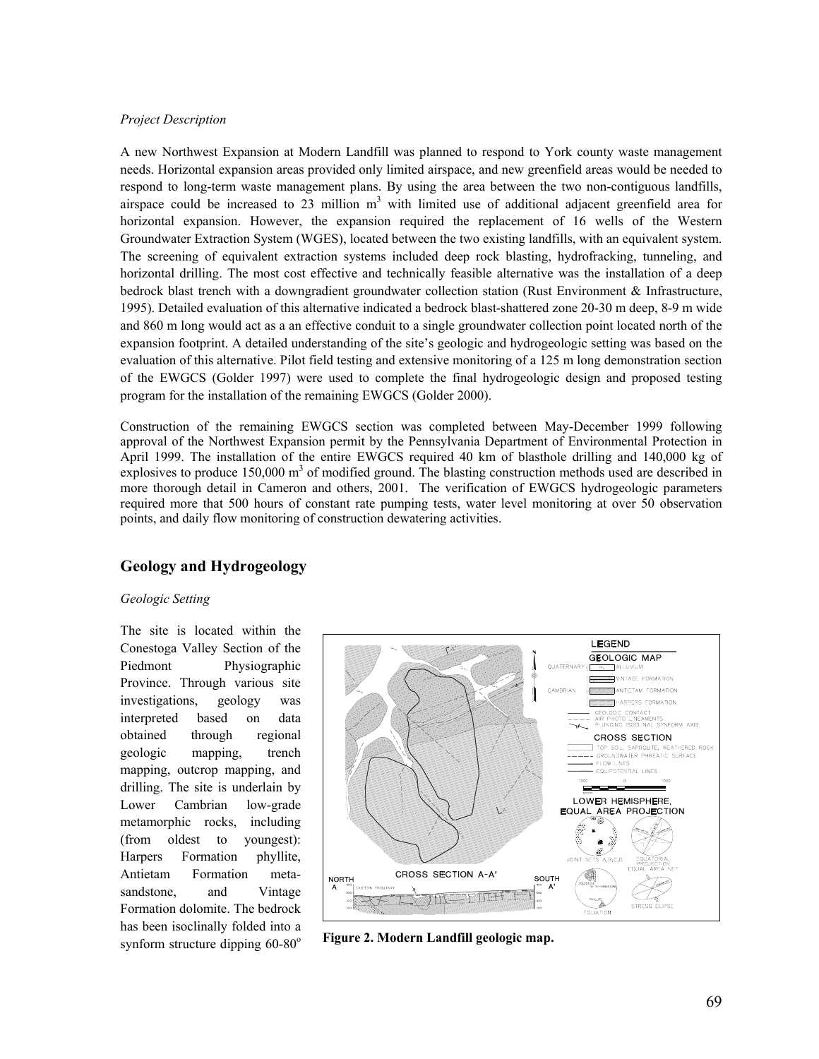### *Project Description*

A new Northwest Expansion at Modern Landfill was planned to respond to York county waste management needs. Horizontal expansion areas provided only limited airspace, and new greenfield areas would be needed to respond to long-term waste management plans. By using the area between the two non-contiguous landfills, airspace could be increased to 23 million  $m<sup>3</sup>$  with limited use of additional adjacent greenfield area for horizontal expansion. However, the expansion required the replacement of 16 wells of the Western Groundwater Extraction System (WGES), located between the two existing landfills, with an equivalent system. The screening of equivalent extraction systems included deep rock blasting, hydrofracking, tunneling, and horizontal drilling. The most cost effective and technically feasible alternative was the installation of a deep bedrock blast trench with a downgradient groundwater collection station (Rust Environment & Infrastructure, 1995). Detailed evaluation of this alternative indicated a bedrock blast-shattered zone 20-30 m deep, 8-9 m wide and 860 m long would act as a an effective conduit to a single groundwater collection point located north of the expansion footprint. A detailed understanding of the site's geologic and hydrogeologic setting was based on the evaluation of this alternative. Pilot field testing and extensive monitoring of a 125 m long demonstration section of the EWGCS (Golder 1997) were used to complete the final hydrogeologic design and proposed testing program for the installation of the remaining EWGCS (Golder 2000).

Construction of the remaining EWGCS section was completed between May-December 1999 following approval of the Northwest Expansion permit by the Pennsylvania Department of Environmental Protection in April 1999. The installation of the entire EWGCS required 40 km of blasthole drilling and 140,000 kg of explosives to produce  $150,000 \text{ m}^3$  of modified ground. The blasting construction methods used are described in more thorough detail in Cameron and others, 2001. The verification of EWGCS hydrogeologic parameters required more that 500 hours of constant rate pumping tests, water level monitoring at over 50 observation points, and daily flow monitoring of construction dewatering activities.

# **Geology and Hydrogeology**

### *Geologic Setting*

The site is located within the Conestoga Valley Section of the Piedmont Physiographic Province. Through various site investigations, geology was interpreted based on data obtained through regional geologic mapping, trench mapping, outcrop mapping, and drilling. The site is underlain by Lower Cambrian low-grade metamorphic rocks, including (from oldest to youngest): Harpers Formation phyllite, Antietam Formation metasandstone, and Vintage Formation dolomite. The bedrock has been isoclinally folded into a



synform structure dipping 60-80<sup>°</sup> Figure 2. Modern Landfill geologic map.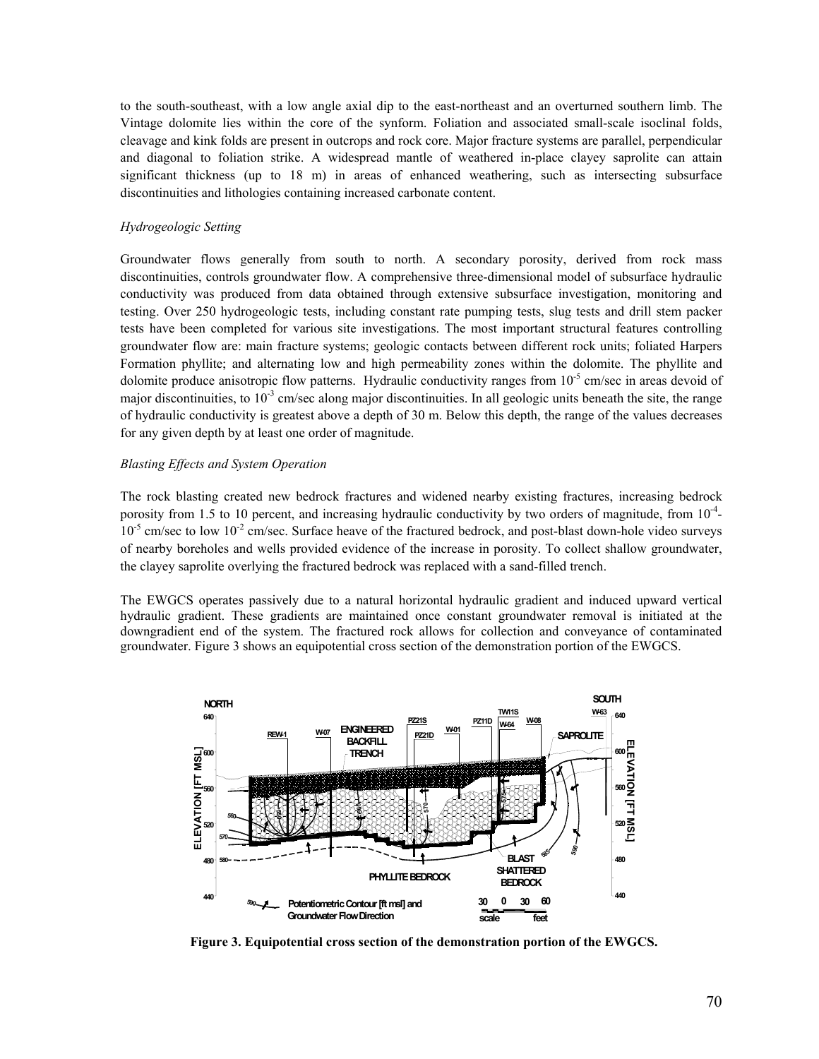to the south-southeast, with a low angle axial dip to the east-northeast and an overturned southern limb. The Vintage dolomite lies within the core of the synform. Foliation and associated small-scale isoclinal folds, cleavage and kink folds are present in outcrops and rock core. Major fracture systems are parallel, perpendicular and diagonal to foliation strike. A widespread mantle of weathered in-place clayey saprolite can attain significant thickness (up to 18 m) in areas of enhanced weathering, such as intersecting subsurface discontinuities and lithologies containing increased carbonate content.

## *Hydrogeologic Setting*

Groundwater flows generally from south to north. A secondary porosity, derived from rock mass discontinuities, controls groundwater flow. A comprehensive three-dimensional model of subsurface hydraulic conductivity was produced from data obtained through extensive subsurface investigation, monitoring and testing. Over 250 hydrogeologic tests, including constant rate pumping tests, slug tests and drill stem packer tests have been completed for various site investigations. The most important structural features controlling groundwater flow are: main fracture systems; geologic contacts between different rock units; foliated Harpers Formation phyllite; and alternating low and high permeability zones within the dolomite. The phyllite and dolomite produce anisotropic flow patterns. Hydraulic conductivity ranges from  $10^{-5}$  cm/sec in areas devoid of major discontinuities, to  $10^{-3}$  cm/sec along major discontinuities. In all geologic units beneath the site, the range of hydraulic conductivity is greatest above a depth of 30 m. Below this depth, the range of the values decreases for any given depth by at least one order of magnitude.

## *Blasting Effects and System Operation*

The rock blasting created new bedrock fractures and widened nearby existing fractures, increasing bedrock porosity from 1.5 to 10 percent, and increasing hydraulic conductivity by two orders of magnitude, from  $10^{-4}$ - $10^{-5}$  cm/sec to low  $10^{-2}$  cm/sec. Surface heave of the fractured bedrock, and post-blast down-hole video surveys of nearby boreholes and wells provided evidence of the increase in porosity. To collect shallow groundwater, the clayey saprolite overlying the fractured bedrock was replaced with a sand-filled trench.

The EWGCS operates passively due to a natural horizontal hydraulic gradient and induced upward vertical hydraulic gradient. These gradients are maintained once constant groundwater removal is initiated at the downgradient end of the system. The fractured rock allows for collection and conveyance of contaminated groundwater. Figure 3 shows an equipotential cross section of the demonstration portion of the EWGCS.



**Figure 3. Equipotential cross section of the demonstration portion of the EWGCS.**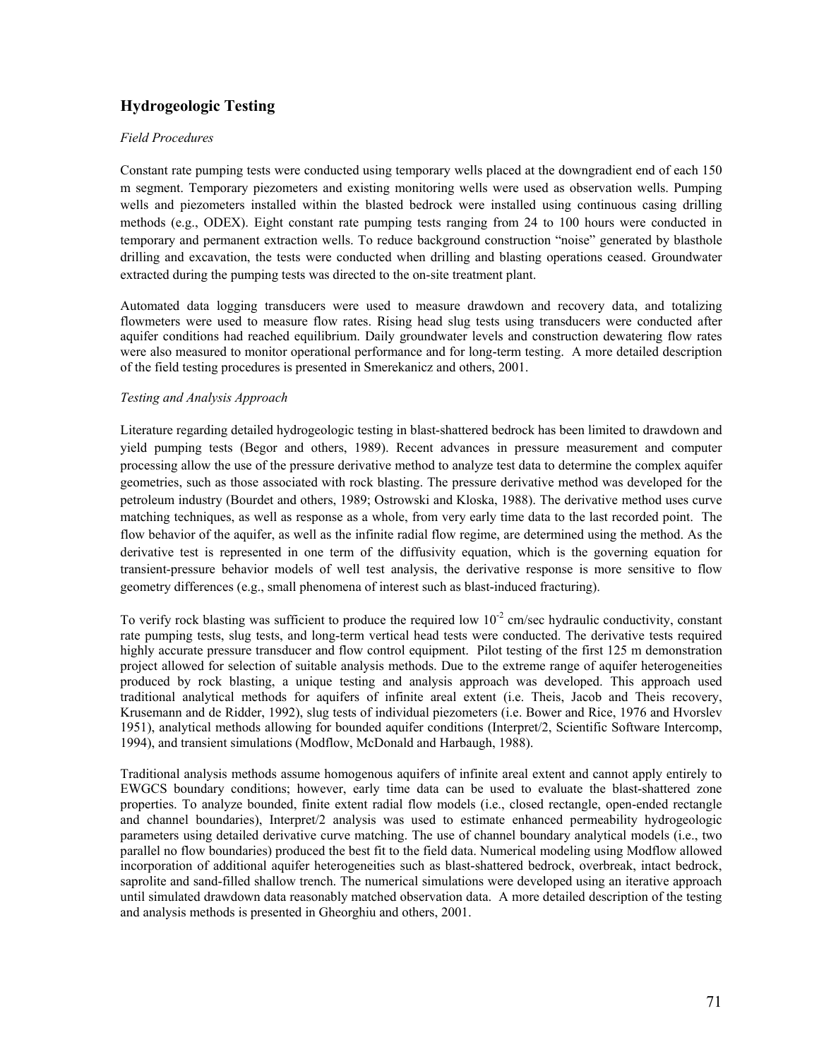# **Hydrogeologic Testing**

## *Field Procedures*

Constant rate pumping tests were conducted using temporary wells placed at the downgradient end of each 150 m segment. Temporary piezometers and existing monitoring wells were used as observation wells. Pumping wells and piezometers installed within the blasted bedrock were installed using continuous casing drilling methods (e.g., ODEX). Eight constant rate pumping tests ranging from 24 to 100 hours were conducted in temporary and permanent extraction wells. To reduce background construction "noise" generated by blasthole drilling and excavation, the tests were conducted when drilling and blasting operations ceased. Groundwater extracted during the pumping tests was directed to the on-site treatment plant.

Automated data logging transducers were used to measure drawdown and recovery data, and totalizing flowmeters were used to measure flow rates. Rising head slug tests using transducers were conducted after aquifer conditions had reached equilibrium. Daily groundwater levels and construction dewatering flow rates were also measured to monitor operational performance and for long-term testing. A more detailed description of the field testing procedures is presented in Smerekanicz and others, 2001.

## *Testing and Analysis Approach*

Literature regarding detailed hydrogeologic testing in blast-shattered bedrock has been limited to drawdown and yield pumping tests (Begor and others, 1989). Recent advances in pressure measurement and computer processing allow the use of the pressure derivative method to analyze test data to determine the complex aquifer geometries, such as those associated with rock blasting. The pressure derivative method was developed for the petroleum industry (Bourdet and others, 1989; Ostrowski and Kloska, 1988). The derivative method uses curve matching techniques, as well as response as a whole, from very early time data to the last recorded point. The flow behavior of the aquifer, as well as the infinite radial flow regime, are determined using the method. As the derivative test is represented in one term of the diffusivity equation, which is the governing equation for transient-pressure behavior models of well test analysis, the derivative response is more sensitive to flow geometry differences (e.g., small phenomena of interest such as blast-induced fracturing).

To verify rock blasting was sufficient to produce the required low  $10^{-2}$  cm/sec hydraulic conductivity, constant rate pumping tests, slug tests, and long-term vertical head tests were conducted. The derivative tests required highly accurate pressure transducer and flow control equipment. Pilot testing of the first 125 m demonstration project allowed for selection of suitable analysis methods. Due to the extreme range of aquifer heterogeneities produced by rock blasting, a unique testing and analysis approach was developed. This approach used traditional analytical methods for aquifers of infinite areal extent (i.e. Theis, Jacob and Theis recovery, Krusemann and de Ridder, 1992), slug tests of individual piezometers (i.e. Bower and Rice, 1976 and Hvorslev 1951), analytical methods allowing for bounded aquifer conditions (Interpret/2, Scientific Software Intercomp, 1994), and transient simulations (Modflow, McDonald and Harbaugh, 1988).

Traditional analysis methods assume homogenous aquifers of infinite areal extent and cannot apply entirely to EWGCS boundary conditions; however, early time data can be used to evaluate the blast-shattered zone properties. To analyze bounded, finite extent radial flow models (i.e., closed rectangle, open-ended rectangle and channel boundaries), Interpret/2 analysis was used to estimate enhanced permeability hydrogeologic parameters using detailed derivative curve matching. The use of channel boundary analytical models (i.e., two parallel no flow boundaries) produced the best fit to the field data. Numerical modeling using Modflow allowed incorporation of additional aquifer heterogeneities such as blast-shattered bedrock, overbreak, intact bedrock, saprolite and sand-filled shallow trench. The numerical simulations were developed using an iterative approach until simulated drawdown data reasonably matched observation data. A more detailed description of the testing and analysis methods is presented in Gheorghiu and others, 2001.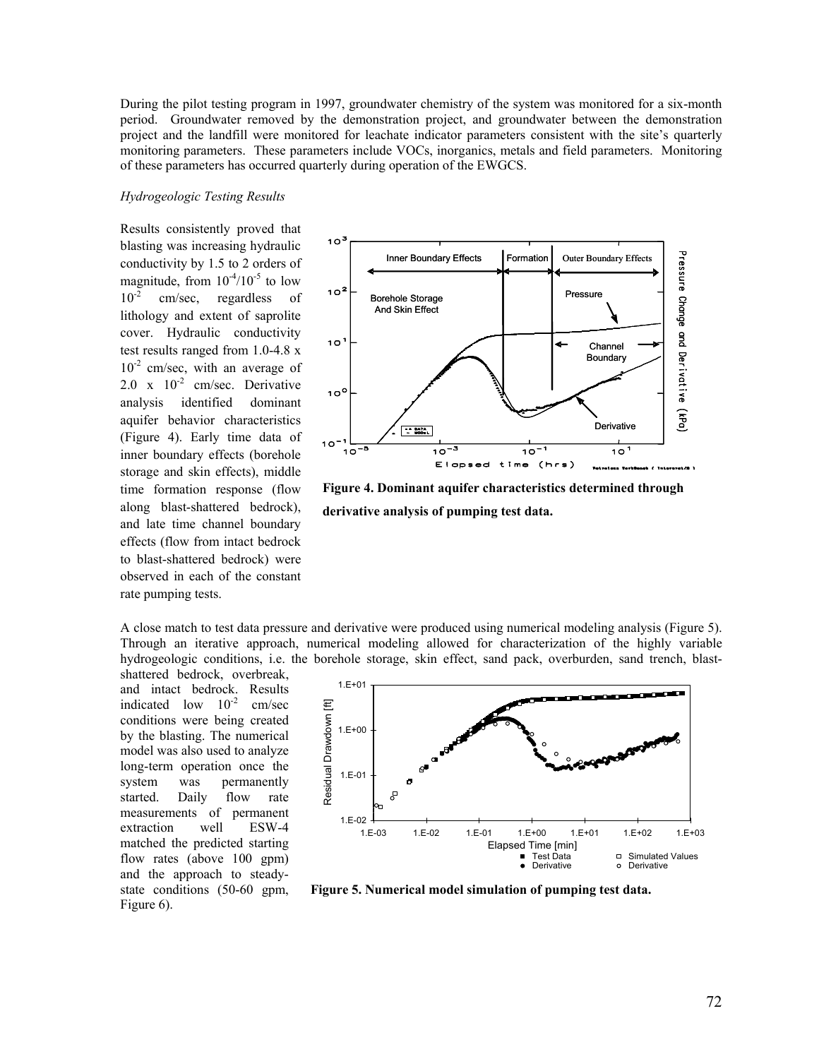During the pilot testing program in 1997, groundwater chemistry of the system was monitored for a six-month period. Groundwater removed by the demonstration project, and groundwater between the demonstration project and the landfill were monitored for leachate indicator parameters consistent with the site's quarterly monitoring parameters. These parameters include VOCs, inorganics, metals and field parameters. Monitoring of these parameters has occurred quarterly during operation of the EWGCS.

#### *Hydrogeologic Testing Results*

Results consistently proved that blasting was increasing hydraulic conductivity by 1.5 to 2 orders of magnitude, from  $10^{-4}/10^{-5}$  to low  $10^{-2}$  cm/sec, regardless of lithology and extent of saprolite cover. Hydraulic conductivity test results ranged from 1.0-4.8 x  $10^{-2}$  cm/sec, with an average of  $2.0 \times 10^{-2}$  cm/sec. Derivative analysis identified dominant aquifer behavior characteristics (Figure 4). Early time data of inner boundary effects (borehole storage and skin effects), middle time formation response (flow along blast-shattered bedrock), and late time channel boundary effects (flow from intact bedrock to blast-shattered bedrock) were observed in each of the constant rate pumping tests.



**Figure 4. Dominant aquifer characteristics determined through derivative analysis of pumping test data.** 

A close match to test data pressure and derivative were produced using numerical modeling analysis (Figure 5). Through an iterative approach, numerical modeling allowed for characterization of the highly variable hydrogeologic conditions, i.e. the borehole storage, skin effect, sand pack, overburden, sand trench, blast-

shattered bedrock, overbreak, and intact bedrock. Results indicated low  $10^{-2}$  cm/sec conditions were being created by the blasting. The numerical model was also used to analyze long-term operation once the system was permanently started. Daily flow rate measurements of permanent extraction well ESW-4 matched the predicted starting flow rates (above 100 gpm) and the approach to steadystate conditions (50-60 gpm, Figure 6).



**Figure 5. Numerical model simulation of pumping test data.**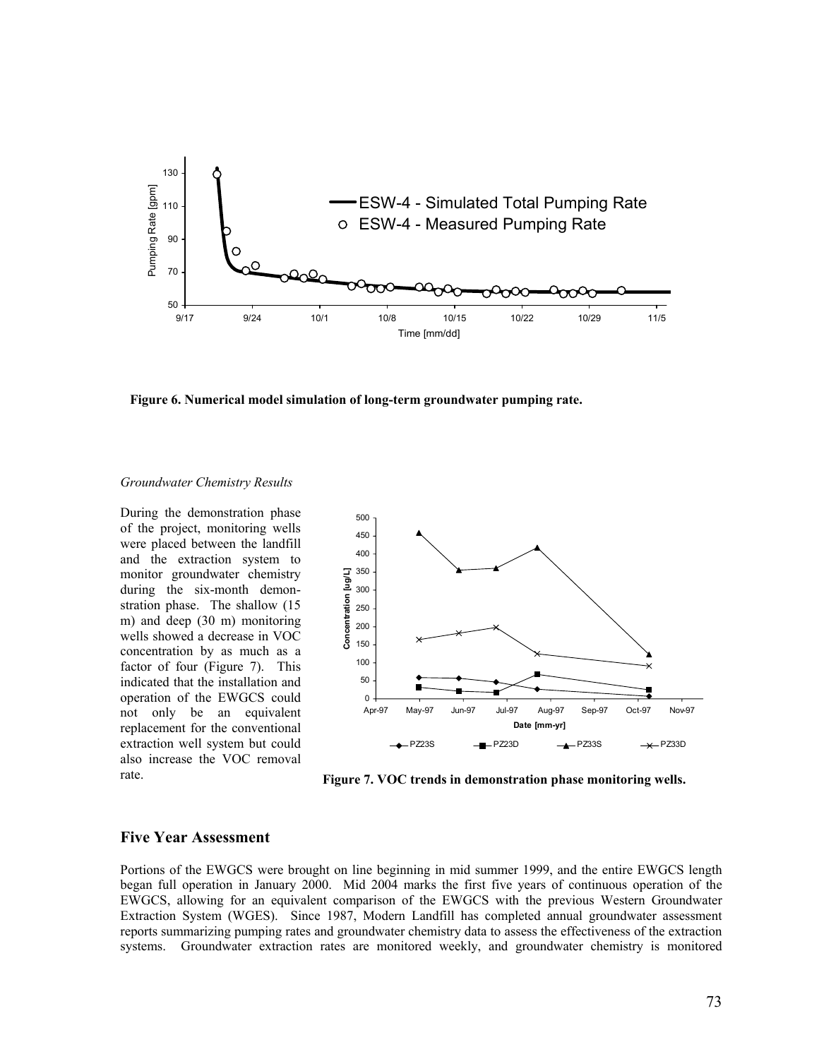

**Figure 6. Numerical model simulation of long-term groundwater pumping rate.** 

### *Groundwater Chemistry Results*

During the demonstration phase of the project, monitoring wells were placed between the landfill and the extraction system to monitor groundwater chemistry during the six-month demonstration phase. The shallow (15 m) and deep (30 m) monitoring wells showed a decrease in VOC concentration by as much as a factor of four (Figure 7). This indicated that the installation and operation of the EWGCS could not only be an equivalent replacement for the conventional extraction well system but could also increase the VOC removal rate.



**Figure 7. VOC trends in demonstration phase monitoring wells.** 

## **Five Year Assessment**

Portions of the EWGCS were brought on line beginning in mid summer 1999, and the entire EWGCS length began full operation in January 2000. Mid 2004 marks the first five years of continuous operation of the EWGCS, allowing for an equivalent comparison of the EWGCS with the previous Western Groundwater Extraction System (WGES). Since 1987, Modern Landfill has completed annual groundwater assessment reports summarizing pumping rates and groundwater chemistry data to assess the effectiveness of the extraction systems. Groundwater extraction rates are monitored weekly, and groundwater chemistry is monitored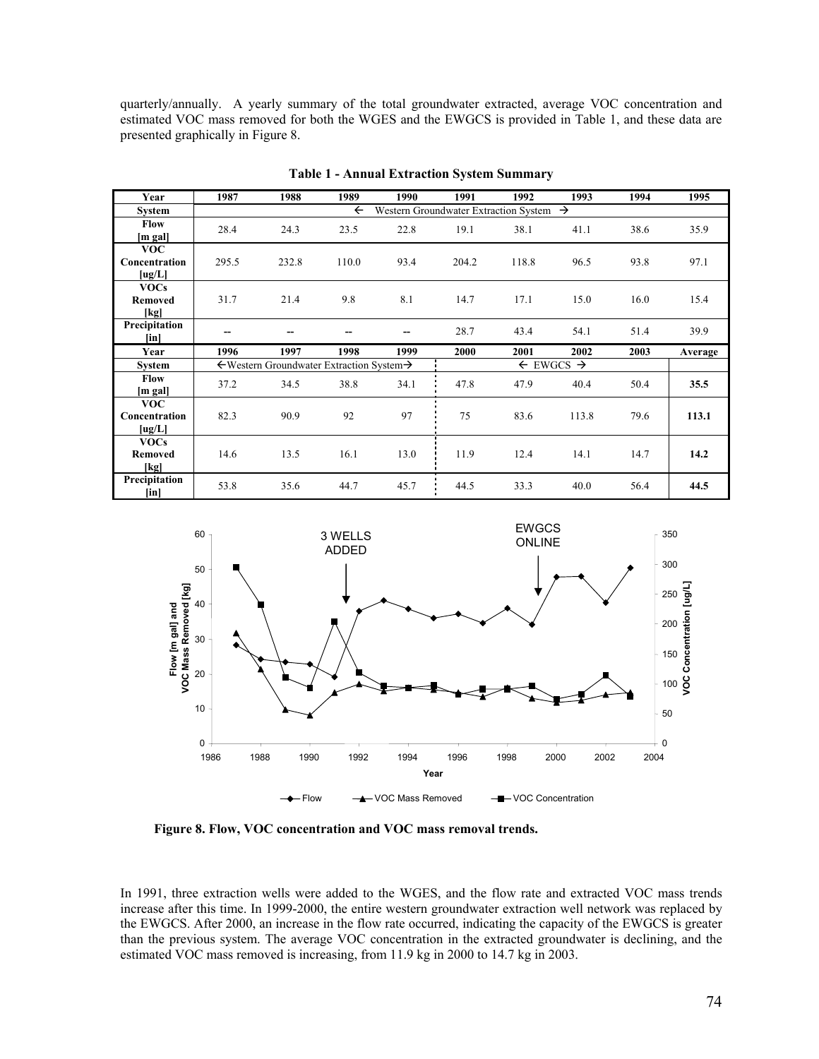quarterly/annually. A yearly summary of the total groundwater extracted, average VOC concentration and estimated VOC mass removed for both the WGES and the EWGCS is provided in Table 1, and these data are presented graphically in Figure 8.

| Year                                       | 1987                                                                | 1988  | 1989  | 1990                             | 1991  | 1992  | 1993  | 1994 | 1995    |
|--------------------------------------------|---------------------------------------------------------------------|-------|-------|----------------------------------|-------|-------|-------|------|---------|
| <b>System</b>                              | Western Groundwater Extraction System $\rightarrow$<br>$\leftarrow$ |       |       |                                  |       |       |       |      |         |
| <b>Flow</b><br>[m gal]                     | 28.4                                                                | 24.3  | 23.5  | 22.8                             | 19.1  | 38.1  | 41.1  | 38.6 | 35.9    |
| <b>VOC</b><br>Concentration<br>[ug/L]      | 295.5                                                               | 232.8 | 110.0 | 93.4                             | 204.2 | 118.8 | 96.5  | 93.8 | 97.1    |
| <b>VOCs</b><br><b>Removed</b><br>[kg]      | 31.7                                                                | 21.4  | 9.8   | 8.1                              | 14.7  | 17.1  | 15.0  | 16.0 | 15.4    |
| Precipitation<br>$\lceil \text{in} \rceil$ | --                                                                  |       |       |                                  | 28.7  | 43.4  | 54.1  | 51.4 | 39.9    |
| Year                                       | 1996                                                                | 1997  | 1998  | 1999                             | 2000  | 2001  | 2002  | 2003 | Average |
| <b>System</b>                              | $\leftarrow$ Western Groundwater Extraction System $\rightarrow$    |       |       | $\leftarrow$ EWGCS $\rightarrow$ |       |       |       |      |         |
| <b>Flow</b><br>m gal]                      | 37.2                                                                | 34.5  | 38.8  | 34.1                             | 47.8  | 47.9  | 40.4  | 50.4 | 35.5    |
| <b>VOC</b><br>Concentration<br>[ug/L]      | 82.3                                                                | 90.9  | 92    | 97                               | 75    | 83.6  | 113.8 | 79.6 | 113.1   |
| <b>VOCs</b><br><b>Removed</b><br>[kg]      | 14.6                                                                | 13.5  | 16.1  | 13.0                             | 11.9  | 12.4  | 14.1  | 14.7 | 14.2    |
| Precipitation<br>$[$ in $]$                | 53.8                                                                | 35.6  | 44.7  | 45.7                             | 44.5  | 33.3  | 40.0  | 56.4 | 44.5    |

**Table 1 - Annual Extraction System Summary** 



**Figure 8. Flow, VOC concentration and VOC mass removal trends.** 

In 1991, three extraction wells were added to the WGES, and the flow rate and extracted VOC mass trends increase after this time. In 1999-2000, the entire western groundwater extraction well network was replaced by the EWGCS. After 2000, an increase in the flow rate occurred, indicating the capacity of the EWGCS is greater than the previous system. The average VOC concentration in the extracted groundwater is declining, and the estimated VOC mass removed is increasing, from 11.9 kg in 2000 to 14.7 kg in 2003.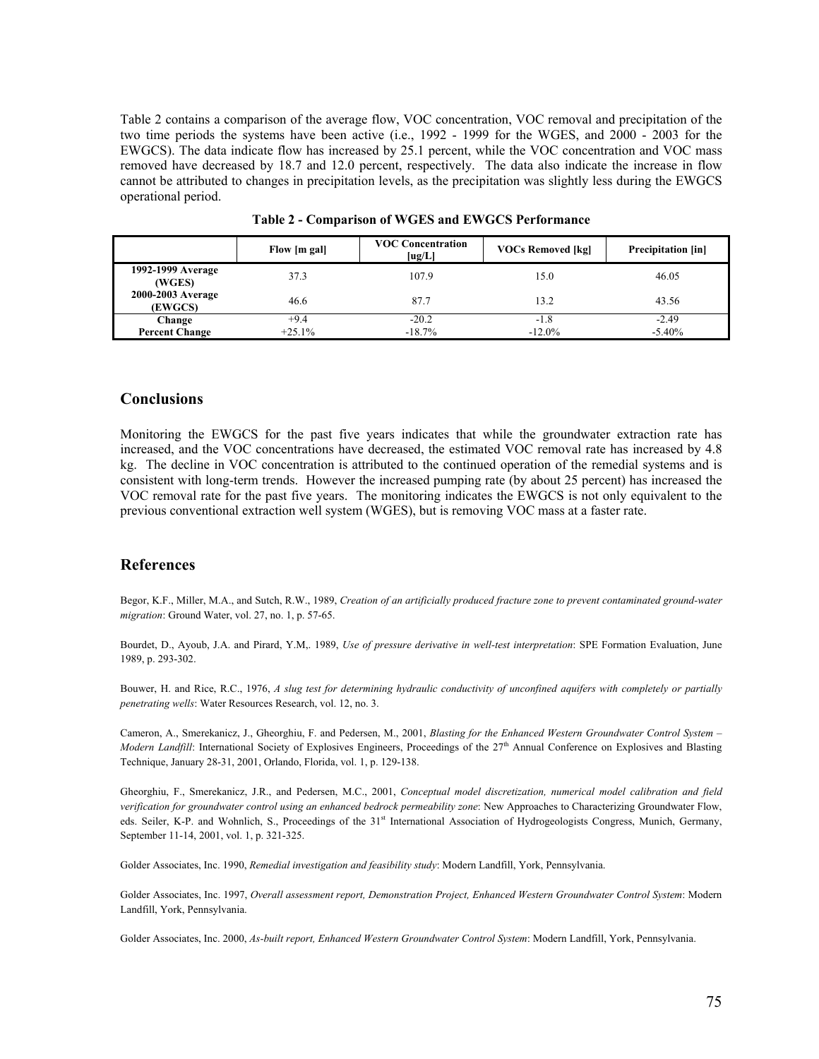Table 2 contains a comparison of the average flow, VOC concentration, VOC removal and precipitation of the two time periods the systems have been active (i.e., 1992 - 1999 for the WGES, and 2000 - 2003 for the EWGCS). The data indicate flow has increased by 25.1 percent, while the VOC concentration and VOC mass removed have decreased by 18.7 and 12.0 percent, respectively. The data also indicate the increase in flow cannot be attributed to changes in precipitation levels, as the precipitation was slightly less during the EWGCS operational period.

|                              | Flow [m gal] | <b>VOC Concentration</b><br>[ug/L] | <b>VOCs Removed [kg]</b> | <b>Precipitation</b> [in] |
|------------------------------|--------------|------------------------------------|--------------------------|---------------------------|
| 1992-1999 Average<br>(WGES)  | 37.3         | 107.9                              | 15.0                     | 46.05                     |
| 2000-2003 Average<br>(EWGCS) | 46.6         | 87.7                               | 13.2                     | 43.56                     |
| Change                       | $+9.4$       | $-20.2$                            | $-1.8$                   | $-2.49$                   |
| <b>Percent Change</b>        | $+25.1%$     | $-18.7\%$                          | $-12.0%$                 | $-5.40%$                  |

**Table 2 - Comparison of WGES and EWGCS Performance** 

## **Conclusions**

Monitoring the EWGCS for the past five years indicates that while the groundwater extraction rate has increased, and the VOC concentrations have decreased, the estimated VOC removal rate has increased by 4.8 kg. The decline in VOC concentration is attributed to the continued operation of the remedial systems and is consistent with long-term trends. However the increased pumping rate (by about 25 percent) has increased the VOC removal rate for the past five years. The monitoring indicates the EWGCS is not only equivalent to the previous conventional extraction well system (WGES), but is removing VOC mass at a faster rate.

## **References**

Begor, K.F., Miller, M.A., and Sutch, R.W., 1989, *Creation of an artificially produced fracture zone to prevent contaminated ground-water migration*: Ground Water, vol. 27, no. 1, p. 57-65.

Bourdet, D., Ayoub, J.A. and Pirard, Y.M,. 1989, *Use of pressure derivative in well-test interpretation*: SPE Formation Evaluation, June 1989, p. 293-302.

Bouwer, H. and Rice, R.C., 1976, *A slug test for determining hydraulic conductivity of unconfined aquifers with completely or partially penetrating wells*: Water Resources Research, vol. 12, no. 3.

Cameron, A., Smerekanicz, J., Gheorghiu, F. and Pedersen, M., 2001, *Blasting for the Enhanced Western Groundwater Control System – Modern Landfill*: International Society of Explosives Engineers, Proceedings of the 27<sup>th</sup> Annual Conference on Explosives and Blasting Technique, January 28-31, 2001, Orlando, Florida, vol. 1, p. 129-138.

Gheorghiu, F., Smerekanicz, J.R., and Pedersen, M.C., 2001, *Conceptual model discretization, numerical model calibration and field verification for groundwater control using an enhanced bedrock permeability zone*: New Approaches to Characterizing Groundwater Flow, eds. Seiler, K-P. and Wohnlich, S., Proceedings of the 31<sup>st</sup> International Association of Hydrogeologists Congress, Munich, Germany, September 11-14, 2001, vol. 1, p. 321-325.

Golder Associates, Inc. 1990, *Remedial investigation and feasibility study*: Modern Landfill, York, Pennsylvania.

Golder Associates, Inc. 1997, *Overall assessment report, Demonstration Project, Enhanced Western Groundwater Control System*: Modern Landfill, York, Pennsylvania.

Golder Associates, Inc. 2000, *As-built report, Enhanced Western Groundwater Control System*: Modern Landfill, York, Pennsylvania.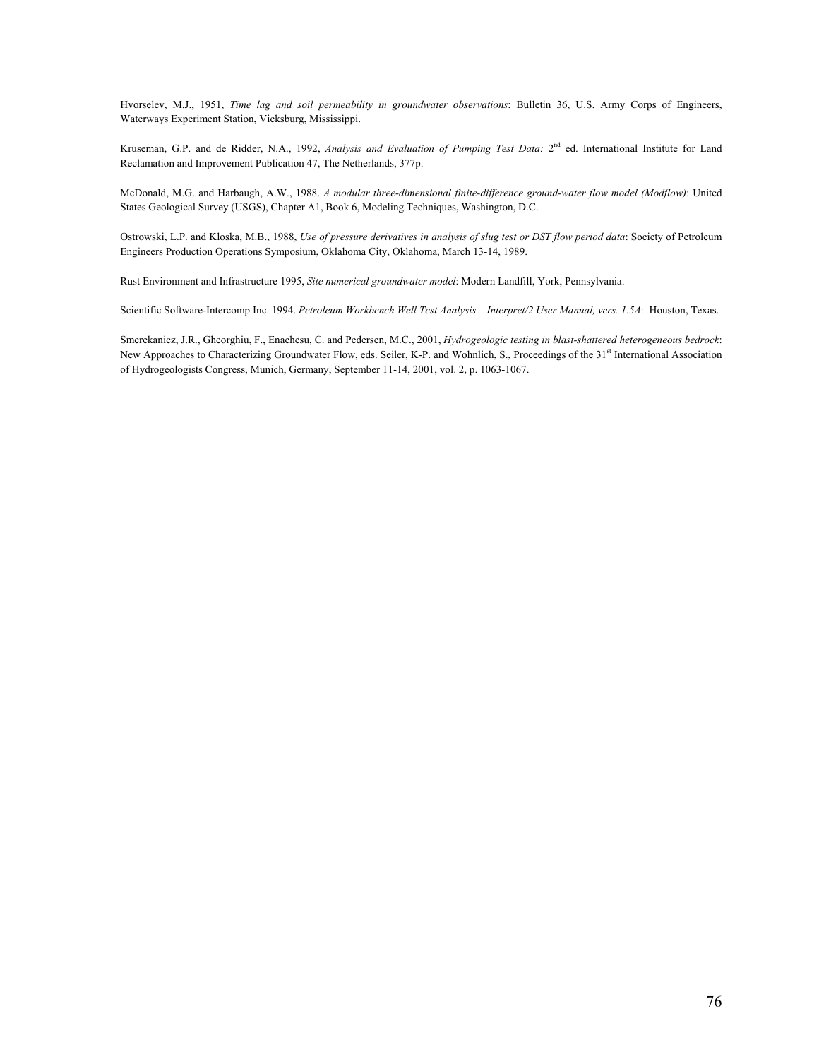Hvorselev, M.J., 1951, *Time lag and soil permeability in groundwater observations*: Bulletin 36, U.S. Army Corps of Engineers, Waterways Experiment Station, Vicksburg, Mississippi.

Kruseman, G.P. and de Ridder, N.A., 1992, *Analysis and Evaluation of Pumping Test Data:* 2<sup>nd</sup> ed. International Institute for Land Reclamation and Improvement Publication 47, The Netherlands, 377p.

McDonald, M.G. and Harbaugh, A.W., 1988. *A modular three-dimensional finite-difference ground-water flow model (Modflow)*: United States Geological Survey (USGS), Chapter A1, Book 6, Modeling Techniques, Washington, D.C.

Ostrowski, L.P. and Kloska, M.B., 1988, *Use of pressure derivatives in analysis of slug test or DST flow period data*: Society of Petroleum Engineers Production Operations Symposium, Oklahoma City, Oklahoma, March 13-14, 1989.

Rust Environment and Infrastructure 1995, *Site numerical groundwater model*: Modern Landfill, York, Pennsylvania.

Scientific Software-Intercomp Inc. 1994. *Petroleum Workbench Well Test Analysis – Interpret/2 User Manual, vers. 1.5A*: Houston, Texas.

Smerekanicz, J.R., Gheorghiu, F., Enachesu, C. and Pedersen, M.C., 2001, *Hydrogeologic testing in blast-shattered heterogeneous bedrock*: New Approaches to Characterizing Groundwater Flow, eds. Seiler, K-P. and Wohnlich, S., Proceedings of the 31<sup>st</sup> International Association of Hydrogeologists Congress, Munich, Germany, September 11-14, 2001, vol. 2, p. 1063-1067.